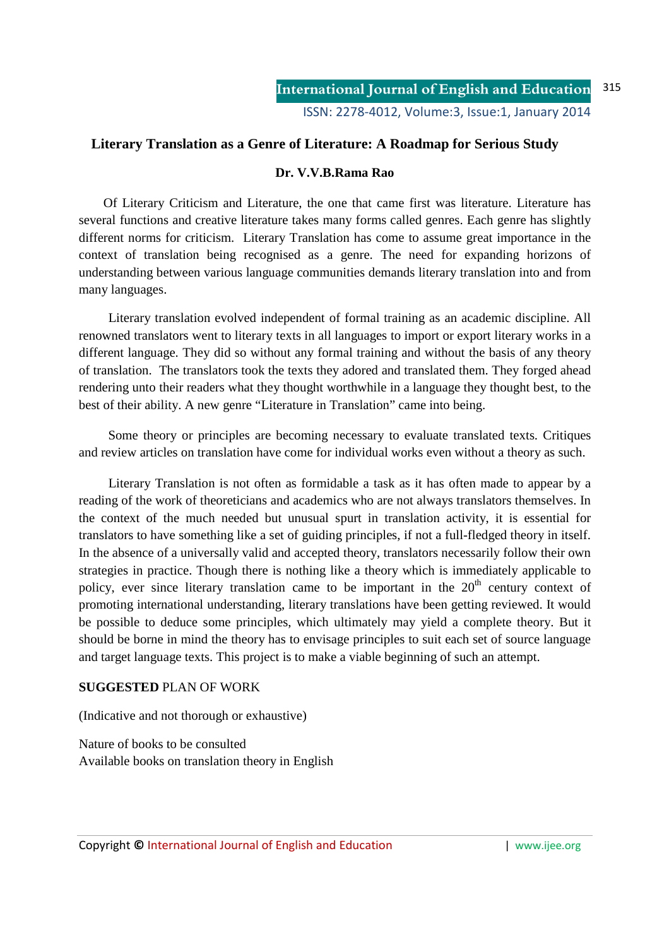## **Literary Translation as a Genre of Literature: A Roadmap for Serious Study**

### **Dr. V.V.B.Rama Rao**

 Of Literary Criticism and Literature, the one that came first was literature. Literature has several functions and creative literature takes many forms called genres. Each genre has slightly different norms for criticism. Literary Translation has come to assume great importance in the context of translation being recognised as a genre. The need for expanding horizons of understanding between various language communities demands literary translation into and from many languages.

 Literary translation evolved independent of formal training as an academic discipline. All renowned translators went to literary texts in all languages to import or export literary works in a different language. They did so without any formal training and without the basis of any theory of translation. The translators took the texts they adored and translated them. They forged ahead rendering unto their readers what they thought worthwhile in a language they thought best, to the best of their ability. A new genre "Literature in Translation" came into being.

 Some theory or principles are becoming necessary to evaluate translated texts. Critiques and review articles on translation have come for individual works even without a theory as such.

 Literary Translation is not often as formidable a task as it has often made to appear by a reading of the work of theoreticians and academics who are not always translators themselves. In the context of the much needed but unusual spurt in translation activity, it is essential for translators to have something like a set of guiding principles, if not a full-fledged theory in itself. In the absence of a universally valid and accepted theory, translators necessarily follow their own strategies in practice. Though there is nothing like a theory which is immediately applicable to policy, ever since literary translation came to be important in the  $20<sup>th</sup>$  century context of promoting international understanding, literary translations have been getting reviewed. It would be possible to deduce some principles, which ultimately may yield a complete theory. But it should be borne in mind the theory has to envisage principles to suit each set of source language and target language texts. This project is to make a viable beginning of such an attempt.

#### **SUGGESTED** PLAN OF WORK

(Indicative and not thorough or exhaustive)

Nature of books to be consulted Available books on translation theory in English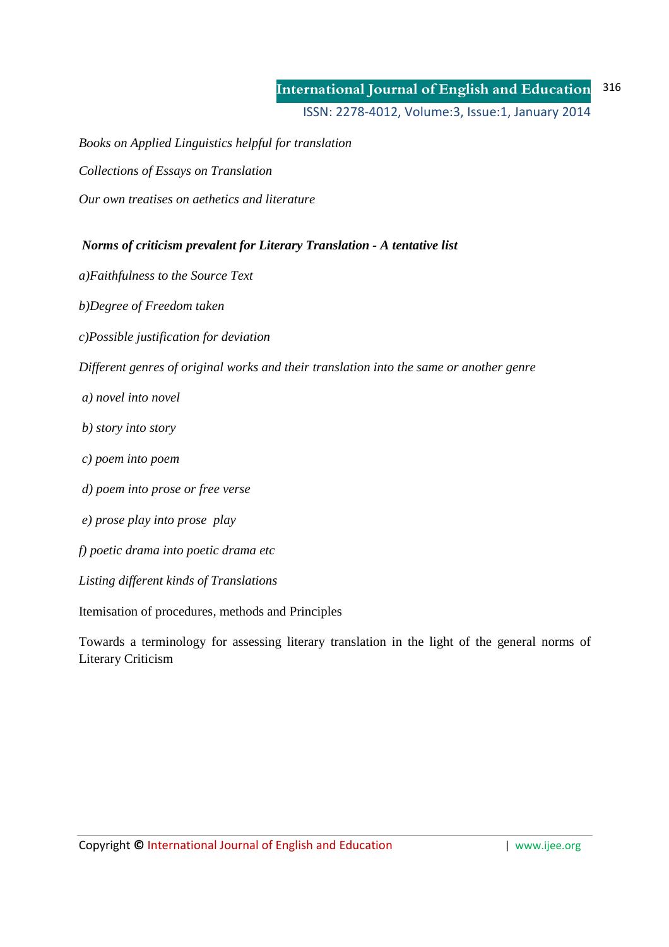#### **International Journal of English and Education** ISSN: 2278-4012, Volume:3, Issue:1, January 2014 316

*Books on Applied Linguistics helpful for translation* 

*Collections of Essays on Translation* 

*Our own treatises on aethetics and literature* 

 *Norms of criticism prevalent for Literary Translation - A tentative list* 

*a)Faithfulness to the Source Text* 

*b)Degree of Freedom taken* 

*c)Possible justification for deviation* 

*Different genres of original works and their translation into the same or another genre* 

- *a) novel into novel*
- *b) story into story*
- *c) poem into poem*
- *d) poem into prose or free verse*
- *e) prose play into prose play*

*f) poetic drama into poetic drama etc* 

*Listing different kinds of Translations* 

Itemisation of procedures, methods and Principles

Towards a terminology for assessing literary translation in the light of the general norms of Literary Criticism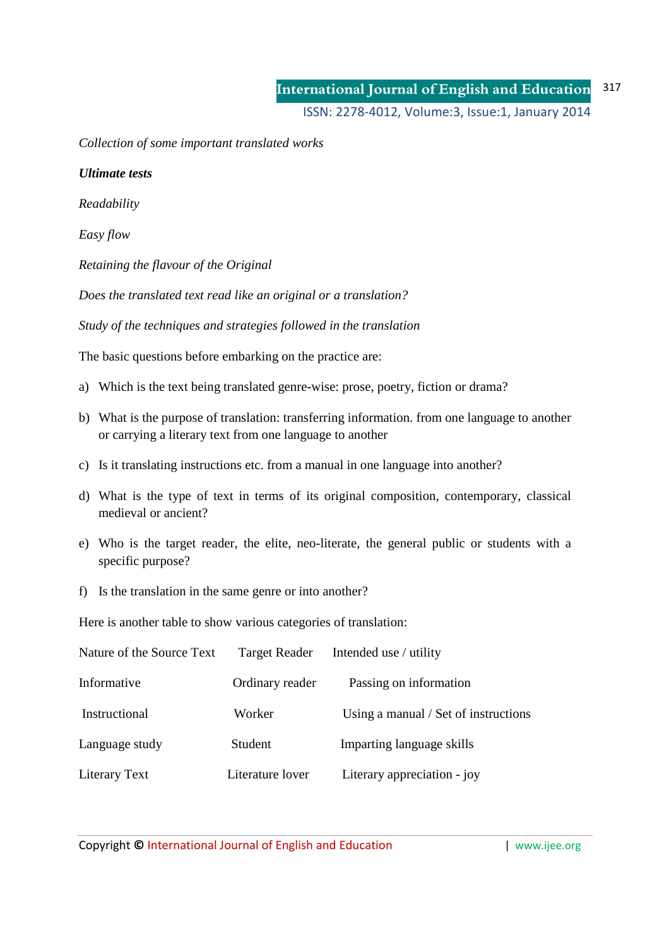ISSN: 2278-4012, Volume:3, Issue:1, January 2014

*Collection of some important translated works* 

*Ultimate tests* 

*Readability* 

*Easy flow* 

*Retaining the flavour of the Original* 

*Does the translated text read like an original or a translation?* 

*Study of the techniques and strategies followed in the translation* 

The basic questions before embarking on the practice are:

- a) Which is the text being translated genre-wise: prose, poetry, fiction or drama?
- b) What is the purpose of translation: transferring information. from one language to another or carrying a literary text from one language to another
- c) Is it translating instructions etc. from a manual in one language into another?
- d) What is the type of text in terms of its original composition, contemporary, classical medieval or ancient?
- e) Who is the target reader, the elite, neo-literate, the general public or students with a specific purpose?
- f) Is the translation in the same genre or into another?

Here is another table to show various categories of translation:

| Nature of the Source Text | <b>Target Reader</b> | Intended use / utility               |
|---------------------------|----------------------|--------------------------------------|
| Informative               | Ordinary reader      | Passing on information               |
| Instructional             | Worker               | Using a manual / Set of instructions |
| Language study            | Student              | Imparting language skills            |
| Literary Text             | Literature lover     | Literary appreciation - joy          |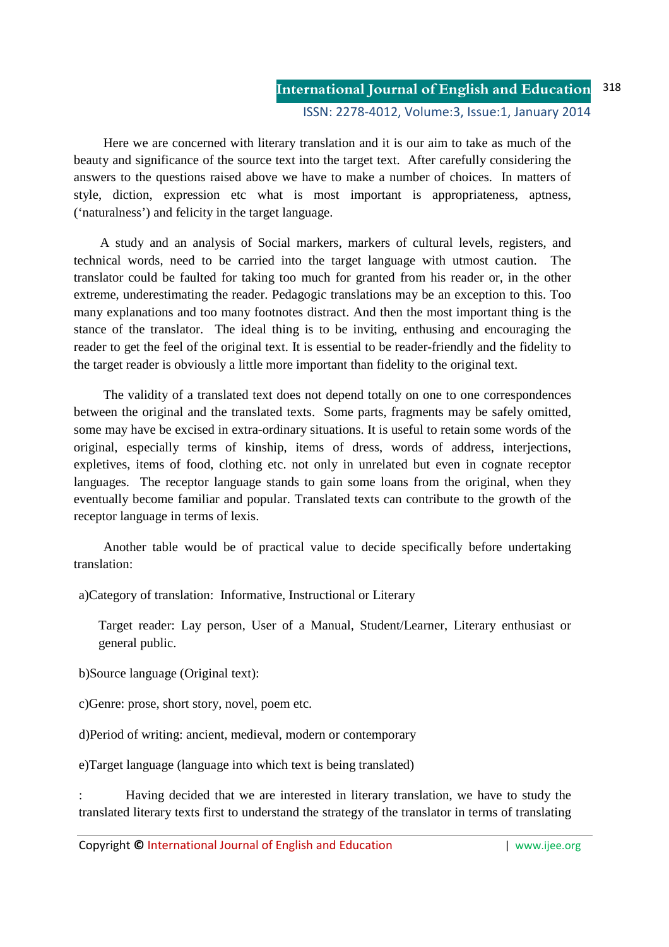Here we are concerned with literary translation and it is our aim to take as much of the beauty and significance of the source text into the target text. After carefully considering the answers to the questions raised above we have to make a number of choices. In matters of style, diction, expression etc what is most important is appropriateness, aptness, ('naturalness') and felicity in the target language.

 A study and an analysis of Social markers, markers of cultural levels, registers, and technical words, need to be carried into the target language with utmost caution. The translator could be faulted for taking too much for granted from his reader or, in the other extreme, underestimating the reader. Pedagogic translations may be an exception to this. Too many explanations and too many footnotes distract. And then the most important thing is the stance of the translator. The ideal thing is to be inviting, enthusing and encouraging the reader to get the feel of the original text. It is essential to be reader-friendly and the fidelity to the target reader is obviously a little more important than fidelity to the original text.

 The validity of a translated text does not depend totally on one to one correspondences between the original and the translated texts. Some parts, fragments may be safely omitted, some may have be excised in extra-ordinary situations. It is useful to retain some words of the original, especially terms of kinship, items of dress, words of address, interjections, expletives, items of food, clothing etc. not only in unrelated but even in cognate receptor languages. The receptor language stands to gain some loans from the original, when they eventually become familiar and popular. Translated texts can contribute to the growth of the receptor language in terms of lexis.

 Another table would be of practical value to decide specifically before undertaking translation:

a)Category of translation: Informative, Instructional or Literary

Target reader: Lay person, User of a Manual, Student/Learner, Literary enthusiast or general public.

b)Source language (Original text):

c)Genre: prose, short story, novel, poem etc.

d)Period of writing: ancient, medieval, modern or contemporary

e)Target language (language into which text is being translated)

: Having decided that we are interested in literary translation, we have to study the translated literary texts first to understand the strategy of the translator in terms of translating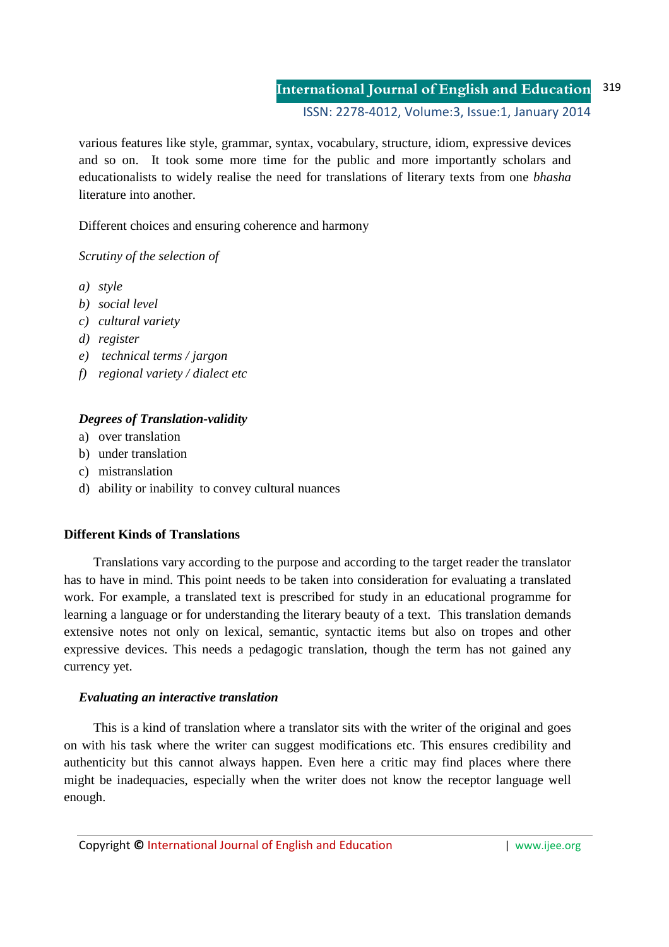#### **International Journal of English and Education** ISSN: 2278-4012, Volume:3, Issue:1, January 2014 319

various features like style, grammar, syntax, vocabulary, structure, idiom, expressive devices and so on. It took some more time for the public and more importantly scholars and educationalists to widely realise the need for translations of literary texts from one *bhasha* literature into another.

Different choices and ensuring coherence and harmony

*Scrutiny of the selection of* 

- *a) style*
- *b) social level*
- *c) cultural variety*
- *d) register*
- *e) technical terms / jargon*
- *f) regional variety / dialect etc*

# *Degrees of Translation-validity*

- a) over translation
- b) under translation
- c) mistranslation
- d) ability or inability to convey cultural nuances

## **Different Kinds of Translations**

 Translations vary according to the purpose and according to the target reader the translator has to have in mind. This point needs to be taken into consideration for evaluating a translated work. For example, a translated text is prescribed for study in an educational programme for learning a language or for understanding the literary beauty of a text. This translation demands extensive notes not only on lexical, semantic, syntactic items but also on tropes and other expressive devices. This needs a pedagogic translation, though the term has not gained any currency yet.

## *Evaluating an interactive translation*

 This is a kind of translation where a translator sits with the writer of the original and goes on with his task where the writer can suggest modifications etc. This ensures credibility and authenticity but this cannot always happen. Even here a critic may find places where there might be inadequacies, especially when the writer does not know the receptor language well enough.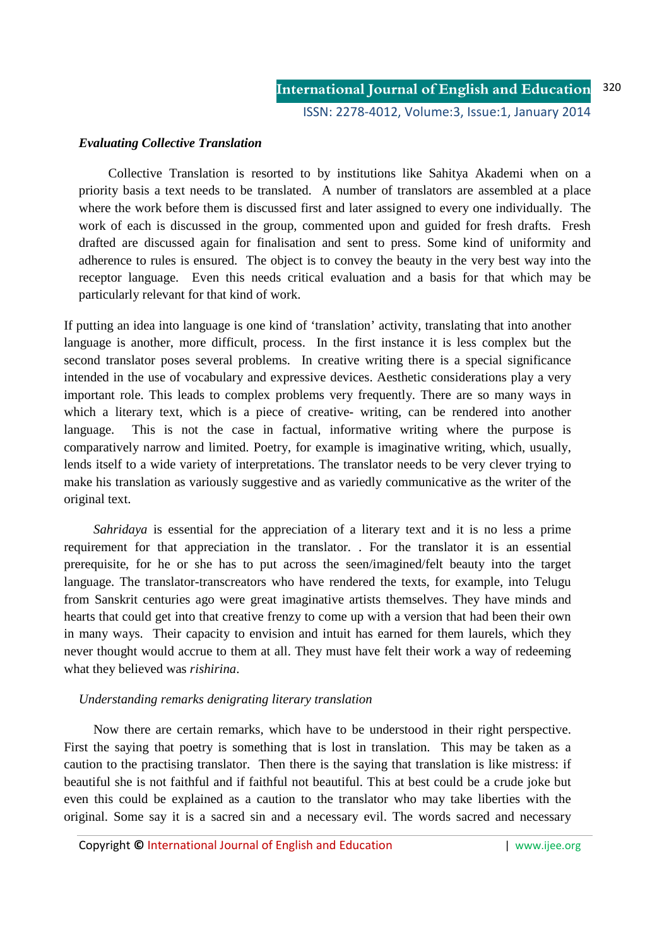#### *Evaluating Collective Translation*

 Collective Translation is resorted to by institutions like Sahitya Akademi when on a priority basis a text needs to be translated. A number of translators are assembled at a place where the work before them is discussed first and later assigned to every one individually. The work of each is discussed in the group, commented upon and guided for fresh drafts. Fresh drafted are discussed again for finalisation and sent to press. Some kind of uniformity and adherence to rules is ensured. The object is to convey the beauty in the very best way into the receptor language. Even this needs critical evaluation and a basis for that which may be particularly relevant for that kind of work.

If putting an idea into language is one kind of 'translation' activity, translating that into another language is another, more difficult, process. In the first instance it is less complex but the second translator poses several problems. In creative writing there is a special significance intended in the use of vocabulary and expressive devices. Aesthetic considerations play a very important role. This leads to complex problems very frequently. There are so many ways in which a literary text, which is a piece of creative- writing, can be rendered into another language. This is not the case in factual, informative writing where the purpose is comparatively narrow and limited. Poetry, for example is imaginative writing, which, usually, lends itself to a wide variety of interpretations. The translator needs to be very clever trying to make his translation as variously suggestive and as variedly communicative as the writer of the original text.

 *Sahridaya* is essential for the appreciation of a literary text and it is no less a prime requirement for that appreciation in the translator. . For the translator it is an essential prerequisite, for he or she has to put across the seen/imagined/felt beauty into the target language. The translator-transcreators who have rendered the texts, for example, into Telugu from Sanskrit centuries ago were great imaginative artists themselves. They have minds and hearts that could get into that creative frenzy to come up with a version that had been their own in many ways. Their capacity to envision and intuit has earned for them laurels, which they never thought would accrue to them at all. They must have felt their work a way of redeeming what they believed was *rishirina*.

#### *Understanding remarks denigrating literary translation*

 Now there are certain remarks, which have to be understood in their right perspective. First the saying that poetry is something that is lost in translation. This may be taken as a caution to the practising translator. Then there is the saying that translation is like mistress: if beautiful she is not faithful and if faithful not beautiful. This at best could be a crude joke but even this could be explained as a caution to the translator who may take liberties with the original. Some say it is a sacred sin and a necessary evil. The words sacred and necessary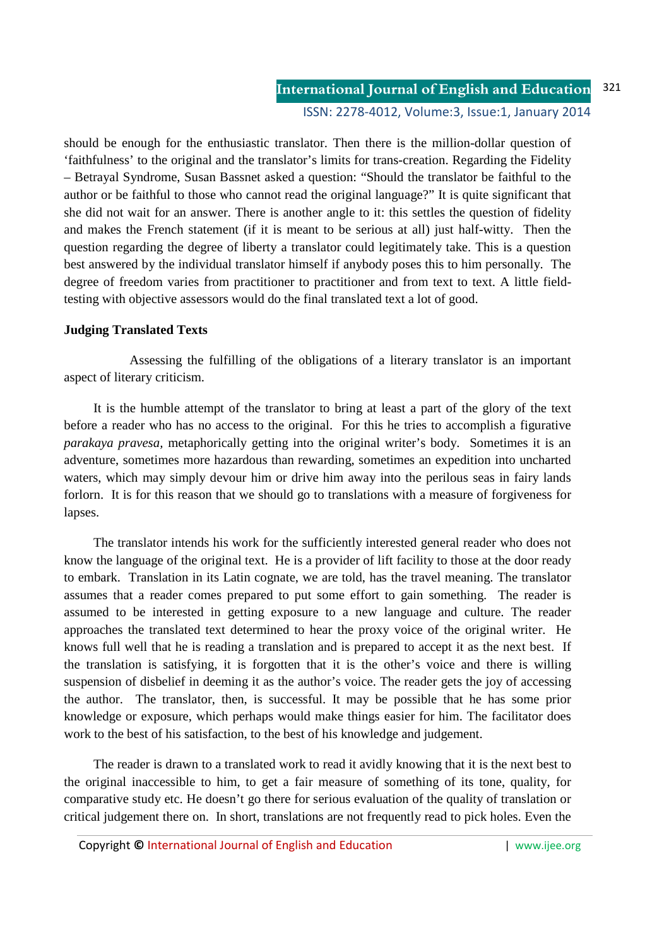should be enough for the enthusiastic translator. Then there is the million-dollar question of 'faithfulness' to the original and the translator's limits for trans-creation. Regarding the Fidelity – Betrayal Syndrome, Susan Bassnet asked a question: "Should the translator be faithful to the author or be faithful to those who cannot read the original language?" It is quite significant that she did not wait for an answer. There is another angle to it: this settles the question of fidelity and makes the French statement (if it is meant to be serious at all) just half-witty. Then the question regarding the degree of liberty a translator could legitimately take. This is a question best answered by the individual translator himself if anybody poses this to him personally. The degree of freedom varies from practitioner to practitioner and from text to text. A little fieldtesting with objective assessors would do the final translated text a lot of good.

### **Judging Translated Texts**

 Assessing the fulfilling of the obligations of a literary translator is an important aspect of literary criticism.

 It is the humble attempt of the translator to bring at least a part of the glory of the text before a reader who has no access to the original. For this he tries to accomplish a figurative *parakaya pravesa,* metaphorically getting into the original writer's body. Sometimes it is an adventure, sometimes more hazardous than rewarding, sometimes an expedition into uncharted waters, which may simply devour him or drive him away into the perilous seas in fairy lands forlorn. It is for this reason that we should go to translations with a measure of forgiveness for lapses.

 The translator intends his work for the sufficiently interested general reader who does not know the language of the original text. He is a provider of lift facility to those at the door ready to embark. Translation in its Latin cognate, we are told, has the travel meaning. The translator assumes that a reader comes prepared to put some effort to gain something. The reader is assumed to be interested in getting exposure to a new language and culture. The reader approaches the translated text determined to hear the proxy voice of the original writer. He knows full well that he is reading a translation and is prepared to accept it as the next best. If the translation is satisfying, it is forgotten that it is the other's voice and there is willing suspension of disbelief in deeming it as the author's voice. The reader gets the joy of accessing the author. The translator, then, is successful. It may be possible that he has some prior knowledge or exposure, which perhaps would make things easier for him. The facilitator does work to the best of his satisfaction, to the best of his knowledge and judgement.

 The reader is drawn to a translated work to read it avidly knowing that it is the next best to the original inaccessible to him, to get a fair measure of something of its tone, quality, for comparative study etc. He doesn't go there for serious evaluation of the quality of translation or critical judgement there on. In short, translations are not frequently read to pick holes. Even the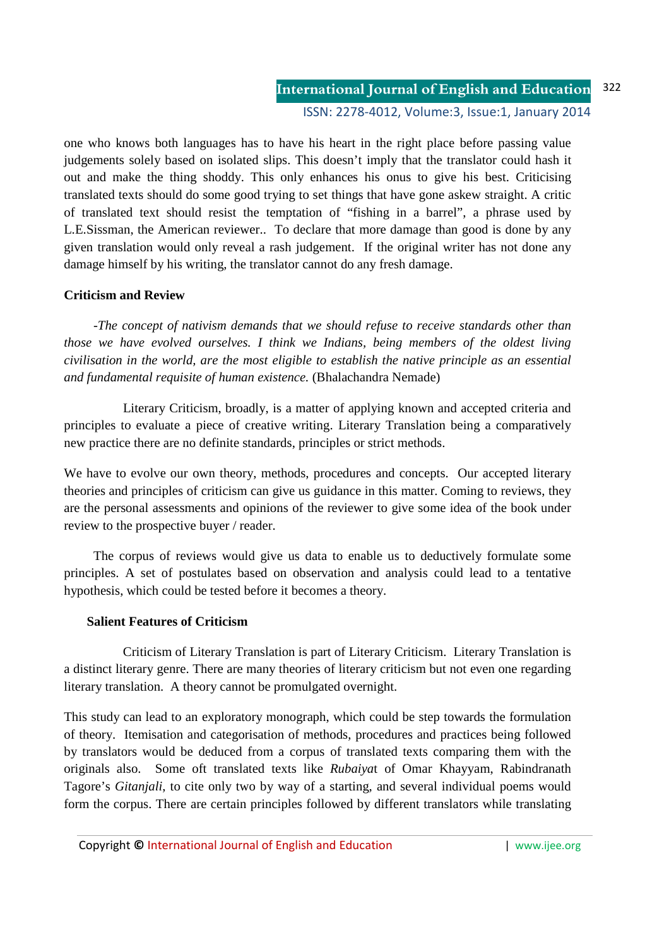one who knows both languages has to have his heart in the right place before passing value judgements solely based on isolated slips. This doesn't imply that the translator could hash it out and make the thing shoddy. This only enhances his onus to give his best. Criticising translated texts should do some good trying to set things that have gone askew straight. A critic of translated text should resist the temptation of "fishing in a barrel", a phrase used by L.E.Sissman, the American reviewer.. To declare that more damage than good is done by any given translation would only reveal a rash judgement. If the original writer has not done any damage himself by his writing, the translator cannot do any fresh damage.

# **Criticism and Review**

 -*The concept of nativism demands that we should refuse to receive standards other than those we have evolved ourselves. I think we Indians, being members of the oldest living civilisation in the world, are the most eligible to establish the native principle as an essential and fundamental requisite of human existence.* (Bhalachandra Nemade)

 Literary Criticism, broadly, is a matter of applying known and accepted criteria and principles to evaluate a piece of creative writing. Literary Translation being a comparatively new practice there are no definite standards, principles or strict methods.

We have to evolve our own theory, methods, procedures and concepts. Our accepted literary theories and principles of criticism can give us guidance in this matter. Coming to reviews, they are the personal assessments and opinions of the reviewer to give some idea of the book under review to the prospective buyer / reader.

 The corpus of reviews would give us data to enable us to deductively formulate some principles. A set of postulates based on observation and analysis could lead to a tentative hypothesis, which could be tested before it becomes a theory.

## **Salient Features of Criticism**

Criticism of Literary Translation is part of Literary Criticism. Literary Translation is a distinct literary genre. There are many theories of literary criticism but not even one regarding literary translation. A theory cannot be promulgated overnight.

This study can lead to an exploratory monograph, which could be step towards the formulation of theory. Itemisation and categorisation of methods, procedures and practices being followed by translators would be deduced from a corpus of translated texts comparing them with the originals also. Some oft translated texts like *Rubaiya*t of Omar Khayyam, Rabindranath Tagore's *Gitanjali*, to cite only two by way of a starting, and several individual poems would form the corpus. There are certain principles followed by different translators while translating